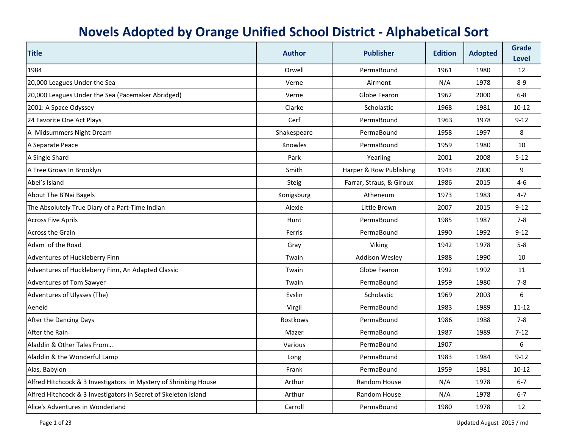| <b>Title</b>                                                     | <b>Author</b>  | <b>Publisher</b>         | <b>Edition</b> | <b>Adopted</b> | <b>Grade</b><br><b>Level</b> |
|------------------------------------------------------------------|----------------|--------------------------|----------------|----------------|------------------------------|
| 1984                                                             | Orwell         | PermaBound               | 1961           | 1980           | 12                           |
| 20,000 Leagues Under the Sea                                     | Verne          | Airmont                  | N/A            | 1978           | $8-9$                        |
| 20,000 Leagues Under the Sea (Pacemaker Abridged)                | Verne          | Globe Fearon             | 1962           | 2000           | $6-8$                        |
| 2001: A Space Odyssey                                            | Clarke         | Scholastic               | 1968           | 1981           | $10 - 12$                    |
| 24 Favorite One Act Plays                                        | Cerf           | PermaBound               | 1963           | 1978           | $9 - 12$                     |
| A Midsummers Night Dream                                         | Shakespeare    | PermaBound               | 1958           | 1997           | 8                            |
| A Separate Peace                                                 | <b>Knowles</b> | PermaBound               | 1959           | 1980           | 10                           |
| A Single Shard                                                   | Park           | Yearling                 | 2001           | 2008           | $5 - 12$                     |
| A Tree Grows In Brooklyn                                         | Smith          | Harper & Row Publishing  | 1943           | 2000           | 9                            |
| Abel's Island                                                    | <b>Steig</b>   | Farrar, Straus, & Giroux | 1986           | 2015           | $4 - 6$                      |
| About The B'Nai Bagels                                           | Konigsburg     | Atheneum                 | 1973           | 1983           | $4 - 7$                      |
| The Absolutely True Diary of a Part-Time Indian                  | Alexie         | Little Brown             | 2007           | 2015           | $9-12$                       |
| <b>Across Five Aprils</b>                                        | Hunt           | PermaBound               | 1985           | 1987           | $7-8$                        |
| <b>Across the Grain</b>                                          | Ferris         | PermaBound               | 1990           | 1992           | $9 - 12$                     |
| Adam of the Road                                                 | Gray           | Viking                   | 1942           | 1978           | $5 - 8$                      |
| Adventures of Huckleberry Finn                                   | Twain          | <b>Addison Wesley</b>    | 1988           | 1990           | 10                           |
| Adventures of Huckleberry Finn, An Adapted Classic               | Twain          | Globe Fearon             | 1992           | 1992           | 11                           |
| Adventures of Tom Sawyer                                         | Twain          | PermaBound               | 1959           | 1980           | $7 - 8$                      |
| Adventures of Ulysses (The)                                      | Evslin         | Scholastic               | 1969           | 2003           | 6                            |
| Aeneid                                                           | Virgil         | PermaBound               | 1983           | 1989           | $11 - 12$                    |
| After the Dancing Days                                           | Rostkows       | PermaBound               | 1986           | 1988           | $7 - 8$                      |
| After the Rain                                                   | Mazer          | PermaBound               | 1987           | 1989           | $7 - 12$                     |
| Aladdin & Other Tales From                                       | Various        | PermaBound               | 1907           |                | 6                            |
| Aladdin & the Wonderful Lamp                                     | Long           | PermaBound               | 1983           | 1984           | $9 - 12$                     |
| Alas, Babylon                                                    | Frank          | PermaBound               | 1959           | 1981           | $10 - 12$                    |
| Alfred Hitchcock & 3 Investigators in Mystery of Shrinking House | Arthur         | Random House             | N/A            | 1978           | $6 - 7$                      |
| Alfred Hitchcock & 3 Investigators in Secret of Skeleton Island  | Arthur         | Random House             | N/A            | 1978           | $6-7$                        |
| Alice's Adventures in Wonderland                                 | Carroll        | PermaBound               | 1980           | 1978           | 12                           |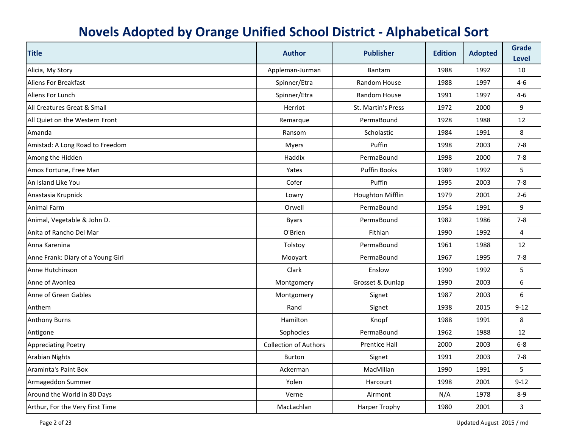| <b>Title</b>                      | <b>Author</b>                | <b>Publisher</b>          | <b>Edition</b> | <b>Adopted</b> | <b>Grade</b><br><b>Level</b> |
|-----------------------------------|------------------------------|---------------------------|----------------|----------------|------------------------------|
| Alicia, My Story                  | Appleman-Jurman              | <b>Bantam</b>             | 1988           | 1992           | 10                           |
| <b>Aliens For Breakfast</b>       | Spinner/Etra                 | Random House              | 1988           | 1997           | $4 - 6$                      |
| Aliens For Lunch                  | Spinner/Etra                 | Random House              | 1991           | 1997           | $4 - 6$                      |
| All Creatures Great & Small       | Herriot                      | <b>St. Martin's Press</b> | 1972           | 2000           | 9                            |
| All Quiet on the Western Front    | Remarque                     | PermaBound                | 1928           | 1988           | 12                           |
| Amanda                            | Ransom                       | Scholastic                | 1984           | 1991           | 8                            |
| Amistad: A Long Road to Freedom   | <b>Myers</b>                 | Puffin                    | 1998           | 2003           | $7 - 8$                      |
| Among the Hidden                  | Haddix                       | PermaBound                | 1998           | 2000           | $7-8$                        |
| Amos Fortune, Free Man            | Yates                        | <b>Puffin Books</b>       | 1989           | 1992           | 5                            |
| An Island Like You                | Cofer                        | Puffin                    | 1995           | 2003           | $7 - 8$                      |
| Anastasia Krupnick                | Lowry                        | Houghton Mifflin          | 1979           | 2001           | $2 - 6$                      |
| <b>Animal Farm</b>                | Orwell                       | PermaBound                | 1954           | 1991           | 9                            |
| Animal, Vegetable & John D.       | <b>Byars</b>                 | PermaBound                | 1982           | 1986           | $7-8$                        |
| Anita of Rancho Del Mar           | O'Brien                      | Fithian                   | 1990           | 1992           | 4                            |
| Anna Karenina                     | Tolstoy                      | PermaBound                | 1961           | 1988           | 12                           |
| Anne Frank: Diary of a Young Girl | Mooyart                      | PermaBound                | 1967           | 1995           | $7 - 8$                      |
| Anne Hutchinson                   | Clark                        | Enslow                    | 1990           | 1992           | 5                            |
| Anne of Avonlea                   | Montgomery                   | Grosset & Dunlap          | 1990           | 2003           | 6                            |
| Anne of Green Gables              | Montgomery                   | Signet                    | 1987           | 2003           | 6                            |
| Anthem                            | Rand                         | Signet                    | 1938           | 2015           | $9 - 12$                     |
| <b>Anthony Burns</b>              | Hamilton                     | Knopf                     | 1988           | 1991           | 8                            |
| Antigone                          | Sophocles                    | PermaBound                | 1962           | 1988           | 12                           |
| <b>Appreciating Poetry</b>        | <b>Collection of Authors</b> | <b>Prentice Hall</b>      | 2000           | 2003           | $6-8$                        |
| <b>Arabian Nights</b>             | <b>Burton</b>                | Signet                    | 1991           | 2003           | $7 - 8$                      |
| <b>Araminta's Paint Box</b>       | Ackerman                     | MacMillan                 | 1990           | 1991           | 5                            |
| Armageddon Summer                 | Yolen                        | Harcourt                  | 1998           | 2001           | $9 - 12$                     |
| Around the World in 80 Days       | Verne                        | Airmont                   | N/A            | 1978           | 8-9                          |
| Arthur, For the Very First Time   | MacLachlan                   | <b>Harper Trophy</b>      | 1980           | 2001           | $\overline{3}$               |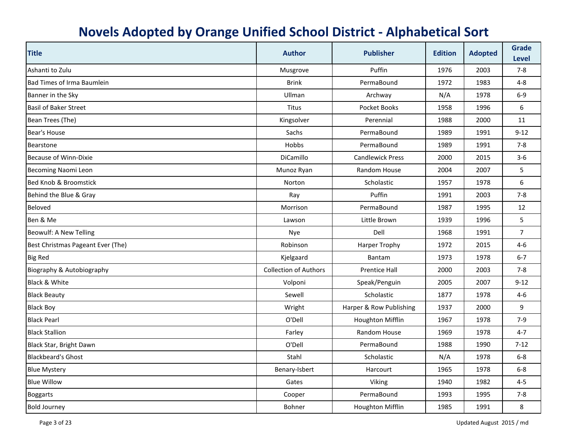| <b>Title</b>                      | <b>Author</b>                | <b>Publisher</b>        | <b>Edition</b> | <b>Adopted</b> | <b>Grade</b><br><b>Level</b> |
|-----------------------------------|------------------------------|-------------------------|----------------|----------------|------------------------------|
| Ashanti to Zulu                   | Musgrove                     | Puffin                  | 1976           | 2003           | $7 - 8$                      |
| Bad Times of Irma Baumlein        | <b>Brink</b>                 | PermaBound              | 1972           | 1983           | 4-8                          |
| Banner in the Sky                 | Ullman                       | Archway                 | N/A            | 1978           | $6-9$                        |
| <b>Basil of Baker Street</b>      | Titus                        | Pocket Books            | 1958           | 1996           | 6                            |
| Bean Trees (The)                  | Kingsolver                   | Perennial               | 1988           | 2000           | 11                           |
| Bear's House                      | Sachs                        | PermaBound              | 1989           | 1991           | $9 - 12$                     |
| Bearstone                         | Hobbs                        | PermaBound              | 1989           | 1991           | $7 - 8$                      |
| <b>Because of Winn-Dixie</b>      | DiCamillo                    | <b>Candlewick Press</b> | 2000           | 2015           | $3-6$                        |
| <b>Becoming Naomi Leon</b>        | Munoz Ryan                   | Random House            | 2004           | 2007           | 5                            |
| <b>Bed Knob &amp; Broomstick</b>  | Norton                       | Scholastic              | 1957           | 1978           | 6                            |
| Behind the Blue & Gray            | Ray                          | Puffin                  | 1991           | 2003           | $7 - 8$                      |
| <b>Beloved</b>                    | Morrison                     | PermaBound              | 1987           | 1995           | 12                           |
| Ben & Me                          | Lawson                       | Little Brown            | 1939           | 1996           | 5                            |
| Beowulf: A New Telling            | Nye                          | Dell                    | 1968           | 1991           | $\overline{7}$               |
| Best Christmas Pageant Ever (The) | Robinson                     | <b>Harper Trophy</b>    | 1972           | 2015           | $4 - 6$                      |
| <b>Big Red</b>                    | Kjelgaard                    | <b>Bantam</b>           | 1973           | 1978           | $6 - 7$                      |
| Biography & Autobiography         | <b>Collection of Authors</b> | <b>Prentice Hall</b>    | 2000           | 2003           | $7 - 8$                      |
| Black & White                     | Volponi                      | Speak/Penguin           | 2005           | 2007           | $9 - 12$                     |
| <b>Black Beauty</b>               | Sewell                       | Scholastic              | 1877           | 1978           | $4-6$                        |
| <b>Black Boy</b>                  | Wright                       | Harper & Row Publishing | 1937           | 2000           | 9                            |
| <b>Black Pearl</b>                | O'Dell                       | Houghton Mifflin        | 1967           | 1978           | $7-9$                        |
| <b>Black Stallion</b>             | Farley                       | Random House            | 1969           | 1978           | $4 - 7$                      |
| Black Star, Bright Dawn           | O'Dell                       | PermaBound              | 1988           | 1990           | $7 - 12$                     |
| <b>Blackbeard's Ghost</b>         | Stahl                        | Scholastic              | N/A            | 1978           | $6-8$                        |
| <b>Blue Mystery</b>               | Benary-Isbert                | Harcourt                | 1965           | 1978           | $6-8$                        |
| <b>Blue Willow</b>                | Gates                        | Viking                  | 1940           | 1982           | $4 - 5$                      |
| <b>Boggarts</b>                   | Cooper                       | PermaBound              | 1993           | 1995           | $7 - 8$                      |
| <b>Bold Journey</b>               | Bohner                       | <b>Houghton Mifflin</b> | 1985           | 1991           | 8                            |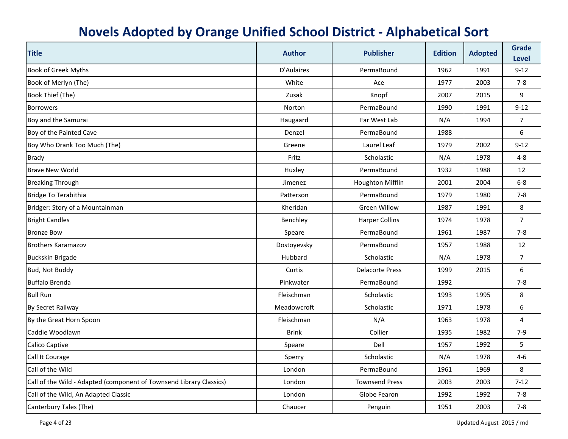| <b>Title</b>                                                        | <b>Author</b> | <b>Publisher</b>       | <b>Edition</b> | <b>Adopted</b> | <b>Grade</b><br><b>Level</b> |
|---------------------------------------------------------------------|---------------|------------------------|----------------|----------------|------------------------------|
| <b>Book of Greek Myths</b>                                          | D'Aulaires    | PermaBound             | 1962           | 1991           | $9 - 12$                     |
| Book of Merlyn (The)                                                | White         | Ace                    | 1977           | 2003           | $7 - 8$                      |
| Book Thief (The)                                                    | Zusak         | Knopf                  | 2007           | 2015           | 9                            |
| <b>Borrowers</b>                                                    | Norton        | PermaBound             | 1990           | 1991           | $9 - 12$                     |
| Boy and the Samurai                                                 | Haugaard      | Far West Lab           | N/A            | 1994           | $\overline{7}$               |
| Boy of the Painted Cave                                             | Denzel        | PermaBound             | 1988           |                | 6                            |
| Boy Who Drank Too Much (The)                                        | Greene        | Laurel Leaf            | 1979           | 2002           | $9 - 12$                     |
| <b>Brady</b>                                                        | Fritz         | Scholastic             | N/A            | 1978           | $4 - 8$                      |
| <b>Brave New World</b>                                              | Huxley        | PermaBound             | 1932           | 1988           | 12                           |
| <b>Breaking Through</b>                                             | Jimenez       | Houghton Mifflin       | 2001           | 2004           | $6-8$                        |
| Bridge To Terabithia                                                | Patterson     | PermaBound             | 1979           | 1980           | $7 - 8$                      |
| Bridger: Story of a Mountainman                                     | Kheridan      | Green Willow           | 1987           | 1991           | 8                            |
| <b>Bright Candles</b>                                               | Benchley      | <b>Harper Collins</b>  | 1974           | 1978           | $\overline{7}$               |
| <b>Bronze Bow</b>                                                   | Speare        | PermaBound             | 1961           | 1987           | $7 - 8$                      |
| <b>Brothers Karamazov</b>                                           | Dostoyevsky   | PermaBound             | 1957           | 1988           | 12                           |
| <b>Buckskin Brigade</b>                                             | Hubbard       | Scholastic             | N/A            | 1978           | $\overline{7}$               |
| Bud, Not Buddy                                                      | Curtis        | <b>Delacorte Press</b> | 1999           | 2015           | $6\,$                        |
| <b>Buffalo Brenda</b>                                               | Pinkwater     | PermaBound             | 1992           |                | $7 - 8$                      |
| <b>Bull Run</b>                                                     | Fleischman    | Scholastic             | 1993           | 1995           | 8                            |
| By Secret Railway                                                   | Meadowcroft   | Scholastic             | 1971           | 1978           | 6                            |
| By the Great Horn Spoon                                             | Fleischman    | N/A                    | 1963           | 1978           | $\overline{4}$               |
| Caddie Woodlawn                                                     | <b>Brink</b>  | Collier                | 1935           | 1982           | $7-9$                        |
| Calico Captive                                                      | Speare        | Dell                   | 1957           | 1992           | 5                            |
| Call It Courage                                                     | Sperry        | Scholastic             | N/A            | 1978           | $4 - 6$                      |
| Call of the Wild                                                    | London        | PermaBound             | 1961           | 1969           | 8                            |
| Call of the Wild - Adapted (component of Townsend Library Classics) | London        | <b>Townsend Press</b>  | 2003           | 2003           | $7 - 12$                     |
| Call of the Wild, An Adapted Classic                                | London        | Globe Fearon           | 1992           | 1992           | $7-8$                        |
| Canterbury Tales (The)                                              | Chaucer       | Penguin                | 1951           | 2003           | $7 - 8$                      |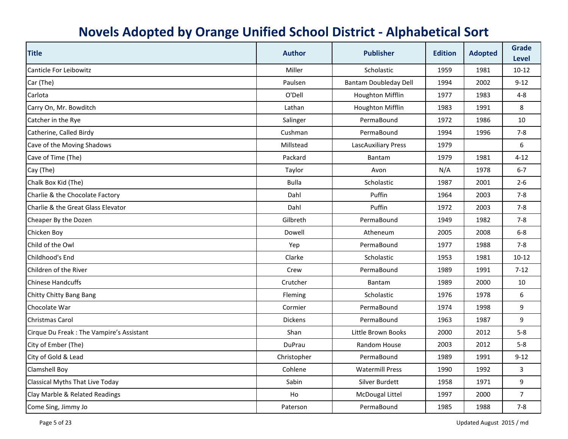| <b>Title</b>                             | <b>Author</b>  | <b>Publisher</b>             | <b>Edition</b> | <b>Adopted</b> | <b>Grade</b><br><b>Level</b> |
|------------------------------------------|----------------|------------------------------|----------------|----------------|------------------------------|
| <b>Canticle For Leibowitz</b>            | Miller         | Scholastic                   | 1959           | 1981           | $10-12$                      |
| Car (The)                                | Paulsen        | <b>Bantam Doubleday Dell</b> | 1994           | 2002           | $9 - 12$                     |
| Carlota                                  | O'Dell         | Houghton Mifflin             | 1977           | 1983           | $4 - 8$                      |
| Carry On, Mr. Bowditch                   | Lathan         | Houghton Mifflin             | 1983           | 1991           | 8                            |
| Catcher in the Rye                       | Salinger       | PermaBound                   | 1972           | 1986           | 10                           |
| Catherine, Called Birdy                  | Cushman        | PermaBound                   | 1994           | 1996           | $7 - 8$                      |
| Cave of the Moving Shadows               | Millstead      | LascAuxiliary Press          | 1979           |                | 6                            |
| Cave of Time (The)                       | Packard        | Bantam                       | 1979           | 1981           | $4 - 12$                     |
| Cay (The)                                | Taylor         | Avon                         | N/A            | 1978           | $6 - 7$                      |
| Chalk Box Kid (The)                      | <b>Bulla</b>   | Scholastic                   | 1987           | 2001           | $2 - 6$                      |
| Charlie & the Chocolate Factory          | Dahl           | Puffin                       | 1964           | 2003           | $7 - 8$                      |
| Charlie & the Great Glass Elevator       | Dahl           | Puffin                       | 1972           | 2003           | $7 - 8$                      |
| Cheaper By the Dozen                     | Gilbreth       | PermaBound                   | 1949           | 1982           | $7 - 8$                      |
| Chicken Boy                              | Dowell         | Atheneum                     | 2005           | 2008           | $6-8$                        |
| Child of the Owl                         | Yep            | PermaBound                   | 1977           | 1988           | $7 - 8$                      |
| Childhood's End                          | Clarke         | Scholastic                   | 1953           | 1981           | $10-12$                      |
| Children of the River                    | Crew           | PermaBound                   | 1989           | 1991           | $7 - 12$                     |
| <b>Chinese Handcuffs</b>                 | Crutcher       | Bantam                       | 1989           | 2000           | 10                           |
| Chitty Chitty Bang Bang                  | Fleming        | Scholastic                   | 1976           | 1978           | 6                            |
| Chocolate War                            | Cormier        | PermaBound                   | 1974           | 1998           | 9                            |
| <b>Christmas Carol</b>                   | <b>Dickens</b> | PermaBound                   | 1963           | 1987           | 9                            |
| Cirque Du Freak: The Vampire's Assistant | Shan           | Little Brown Books           | 2000           | 2012           | $5-8$                        |
| City of Ember (The)                      | DuPrau         | Random House                 | 2003           | 2012           | $5 - 8$                      |
| City of Gold & Lead                      | Christopher    | PermaBound                   | 1989           | 1991           | $9 - 12$                     |
| <b>Clamshell Boy</b>                     | Cohlene        | <b>Watermill Press</b>       | 1990           | 1992           | 3                            |
| Classical Myths That Live Today          | Sabin          | Silver Burdett               | 1958           | 1971           | 9                            |
| Clay Marble & Related Readings           | Ho             | <b>McDougal Littel</b>       | 1997           | 2000           | $\overline{7}$               |
| Come Sing, Jimmy Jo                      | Paterson       | PermaBound                   | 1985           | 1988           | $7 - 8$                      |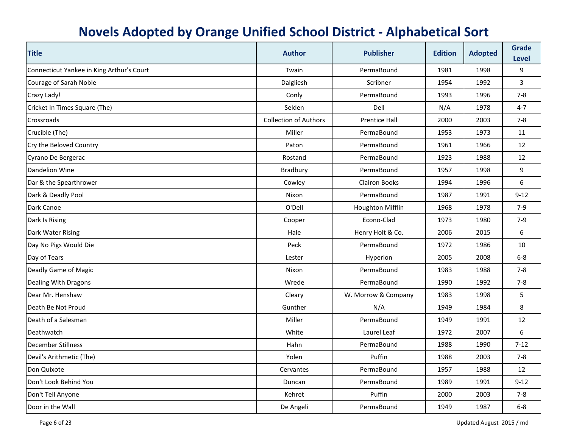| <b>Title</b>                              | <b>Author</b>                | <b>Publisher</b>     | <b>Edition</b> | <b>Adopted</b> | <b>Grade</b><br><b>Level</b> |
|-------------------------------------------|------------------------------|----------------------|----------------|----------------|------------------------------|
| Connecticut Yankee in King Arthur's Court | Twain                        | PermaBound           | 1981           | 1998           | 9                            |
| Courage of Sarah Noble                    | Dalgliesh                    | Scribner             | 1954           | 1992           | 3                            |
| Crazy Lady!                               | Conly                        | PermaBound           | 1993           | 1996           | $7-8$                        |
| Cricket In Times Square (The)             | Selden                       | Dell                 | N/A            | 1978           | $4 - 7$                      |
| Crossroads                                | <b>Collection of Authors</b> | <b>Prentice Hall</b> | 2000           | 2003           | $7-8$                        |
| Crucible (The)                            | Miller                       | PermaBound           | 1953           | 1973           | 11                           |
| Cry the Beloved Country                   | Paton                        | PermaBound           | 1961           | 1966           | 12                           |
| Cyrano De Bergerac                        | Rostand                      | PermaBound           | 1923           | 1988           | 12                           |
| Dandelion Wine                            | Bradbury                     | PermaBound           | 1957           | 1998           | 9                            |
| Dar & the Spearthrower                    | Cowley                       | <b>Clairon Books</b> | 1994           | 1996           | 6                            |
| Dark & Deadly Pool                        | Nixon                        | PermaBound           | 1987           | 1991           | $9 - 12$                     |
| Dark Canoe                                | O'Dell                       | Houghton Mifflin     | 1968           | 1978           | $7-9$                        |
| Dark Is Rising                            | Cooper                       | Econo-Clad           | 1973           | 1980           | $7-9$                        |
| Dark Water Rising                         | Hale                         | Henry Holt & Co.     | 2006           | 2015           | 6                            |
| Day No Pigs Would Die                     | Peck                         | PermaBound           | 1972           | 1986           | 10                           |
| Day of Tears                              | Lester                       | Hyperion             | 2005           | 2008           | $6 - 8$                      |
| Deadly Game of Magic                      | Nixon                        | PermaBound           | 1983           | 1988           | $7 - 8$                      |
| Dealing With Dragons                      | Wrede                        | PermaBound           | 1990           | 1992           | $7 - 8$                      |
| Dear Mr. Henshaw                          | Cleary                       | W. Morrow & Company  | 1983           | 1998           | 5                            |
| Death Be Not Proud                        | Gunther                      | N/A                  | 1949           | 1984           | 8                            |
| Death of a Salesman                       | Miller                       | PermaBound           | 1949           | 1991           | 12                           |
| Deathwatch                                | White                        | Laurel Leaf          | 1972           | 2007           | 6                            |
| <b>December Stillness</b>                 | Hahn                         | PermaBound           | 1988           | 1990           | $7 - 12$                     |
| Devil's Arithmetic (The)                  | Yolen                        | Puffin               | 1988           | 2003           | $7 - 8$                      |
| Don Quixote                               | Cervantes                    | PermaBound           | 1957           | 1988           | 12                           |
| Don't Look Behind You                     | Duncan                       | PermaBound           | 1989           | 1991           | $9 - 12$                     |
| Don't Tell Anyone                         | Kehret                       | Puffin               | 2000           | 2003           | $7-8$                        |
| Door in the Wall                          | De Angeli                    | PermaBound           | 1949           | 1987           | $6-8$                        |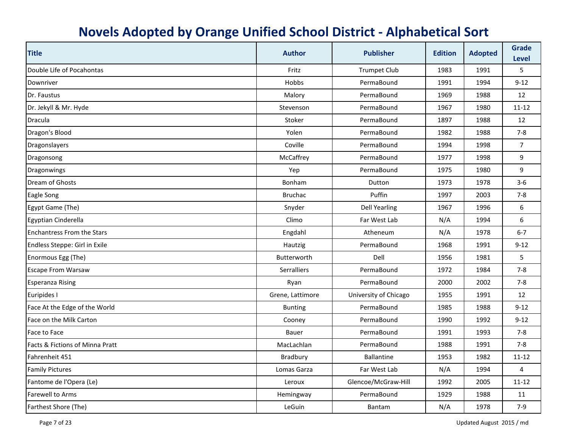| <b>Title</b>                      | <b>Author</b>      | <b>Publisher</b>      | <b>Edition</b> | <b>Adopted</b> | <b>Grade</b><br><b>Level</b> |
|-----------------------------------|--------------------|-----------------------|----------------|----------------|------------------------------|
| Double Life of Pocahontas         | Fritz              | <b>Trumpet Club</b>   | 1983           | 1991           | 5                            |
| Downriver                         | Hobbs              | PermaBound            | 1991           | 1994           | $9 - 12$                     |
| Dr. Faustus                       | Malory             | PermaBound            | 1969           | 1988           | 12                           |
| Dr. Jekyll & Mr. Hyde             | Stevenson          | PermaBound            | 1967           | 1980           | $11 - 12$                    |
| <b>Dracula</b>                    | Stoker             | PermaBound            | 1897           | 1988           | 12                           |
| Dragon's Blood                    | Yolen              | PermaBound            | 1982           | 1988           | $7 - 8$                      |
| Dragonslayers                     | Coville            | PermaBound            | 1994           | 1998           | $\overline{7}$               |
| Dragonsong                        | McCaffrey          | PermaBound            | 1977           | 1998           | 9                            |
| Dragonwings                       | Yep                | PermaBound            | 1975           | 1980           | 9                            |
| Dream of Ghosts                   | <b>Bonham</b>      | Dutton                | 1973           | 1978           | $3-6$                        |
| <b>Eagle Song</b>                 | <b>Bruchac</b>     | Puffin                | 1997           | 2003           | $7-8$                        |
| Egypt Game (The)                  | Snyder             | <b>Dell Yearling</b>  | 1967           | 1996           | 6                            |
| Egyptian Cinderella               | Climo              | Far West Lab          | N/A            | 1994           | 6                            |
| <b>Enchantress From the Stars</b> | Engdahl            | Atheneum              | N/A            | 1978           | $6 - 7$                      |
| Endless Steppe: Girl in Exile     | Hautzig            | PermaBound            | 1968           | 1991           | $9 - 12$                     |
| Enormous Egg (The)                | Butterworth        | Dell                  | 1956           | 1981           | 5                            |
| <b>Escape From Warsaw</b>         | <b>Serralliers</b> | PermaBound            | 1972           | 1984           | $7 - 8$                      |
| <b>Esperanza Rising</b>           | Ryan               | PermaBound            | 2000           | 2002           | $7 - 8$                      |
| Euripides I                       | Grene, Lattimore   | University of Chicago | 1955           | 1991           | 12                           |
| Face At the Edge of the World     | <b>Bunting</b>     | PermaBound            | 1985           | 1988           | $9 - 12$                     |
| Face on the Milk Carton           | Cooney             | PermaBound            | 1990           | 1992           | $9 - 12$                     |
| Face to Face                      | Bauer              | PermaBound            | 1991           | 1993           | $7 - 8$                      |
| Facts & Fictions of Minna Pratt   | MacLachlan         | PermaBound            | 1988           | 1991           | $7 - 8$                      |
| Fahrenheit 451                    | Bradbury           | <b>Ballantine</b>     | 1953           | 1982           | $11 - 12$                    |
| <b>Family Pictures</b>            | Lomas Garza        | Far West Lab          | N/A            | 1994           | 4                            |
| Fantome de l'Opera (Le)           | Leroux             | Glencoe/McGraw-Hill   | 1992           | 2005           | $11 - 12$                    |
| Farewell to Arms                  | Hemingway          | PermaBound            | 1929           | 1988           | 11                           |
| Farthest Shore (The)              | LeGuin             | Bantam                | N/A            | 1978           | $7-9$                        |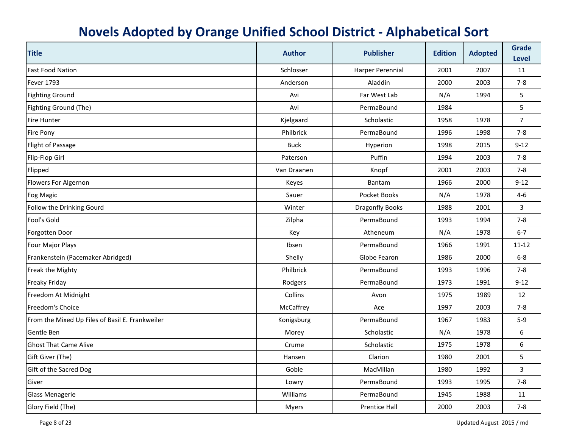| <b>Title</b>                                    | <b>Author</b> | <b>Publisher</b>       | <b>Edition</b> | <b>Adopted</b> | <b>Grade</b><br><b>Level</b> |
|-------------------------------------------------|---------------|------------------------|----------------|----------------|------------------------------|
| <b>Fast Food Nation</b>                         | Schlosser     | Harper Perennial       | 2001           | 2007           | 11                           |
| <b>Fever 1793</b>                               | Anderson      | Aladdin                | 2000           | 2003           | $7 - 8$                      |
| <b>Fighting Ground</b>                          | Avi           | Far West Lab           | N/A            | 1994           | 5                            |
| Fighting Ground (The)                           | Avi           | PermaBound             | 1984           |                | 5                            |
| <b>Fire Hunter</b>                              | Kjelgaard     | Scholastic             | 1958           | 1978           | $\overline{7}$               |
| <b>Fire Pony</b>                                | Philbrick     | PermaBound             | 1996           | 1998           | $7-8$                        |
| Flight of Passage                               | <b>Buck</b>   | Hyperion               | 1998           | 2015           | $9 - 12$                     |
| Flip-Flop Girl                                  | Paterson      | Puffin                 | 1994           | 2003           | $7-8$                        |
| Flipped                                         | Van Draanen   | Knopf                  | 2001           | 2003           | $7 - 8$                      |
| Flowers For Algernon                            | Keyes         | Bantam                 | 1966           | 2000           | $9-12$                       |
| <b>Fog Magic</b>                                | Sauer         | Pocket Books           | N/A            | 1978           | $4-6$                        |
| Follow the Drinking Gourd                       | Winter        | <b>Dragonfly Books</b> | 1988           | 2001           | 3                            |
| Fool's Gold                                     | Zilpha        | PermaBound             | 1993           | 1994           | $7 - 8$                      |
| Forgotten Door                                  | Key           | Atheneum               | N/A            | 1978           | $6 - 7$                      |
| Four Major Plays                                | Ibsen         | PermaBound             | 1966           | 1991           | $11 - 12$                    |
| Frankenstein (Pacemaker Abridged)               | Shelly        | Globe Fearon           | 1986           | 2000           | $6-8$                        |
| Freak the Mighty                                | Philbrick     | PermaBound             | 1993           | 1996           | $7 - 8$                      |
| <b>Freaky Friday</b>                            | Rodgers       | PermaBound             | 1973           | 1991           | $9 - 12$                     |
| Freedom At Midnight                             | Collins       | Avon                   | 1975           | 1989           | 12                           |
| Freedom's Choice                                | McCaffrey     | Ace                    | 1997           | 2003           | $7 - 8$                      |
| From the Mixed Up Files of Basil E. Frankweiler | Konigsburg    | PermaBound             | 1967           | 1983           | $5-9$                        |
| Gentle Ben                                      | Morey         | Scholastic             | N/A            | 1978           | 6                            |
| <b>Ghost That Came Alive</b>                    | Crume         | Scholastic             | 1975           | 1978           | 6                            |
| Gift Giver (The)                                | Hansen        | Clarion                | 1980           | 2001           | 5                            |
| Gift of the Sacred Dog                          | Goble         | MacMillan              | 1980           | 1992           | 3                            |
| Giver                                           | Lowry         | PermaBound             | 1993           | 1995           | $7 - 8$                      |
| <b>Glass Menagerie</b>                          | Williams      | PermaBound             | 1945           | 1988           | 11                           |
| Glory Field (The)                               | <b>Myers</b>  | <b>Prentice Hall</b>   | 2000           | 2003           | $7 - 8$                      |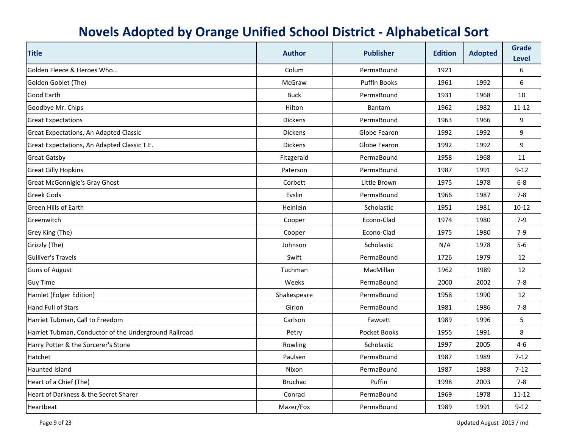| <b>Title</b>                                          | <b>Author</b>   | <b>Publisher</b>    | <b>Edition</b> | <b>Adopted</b> | <b>Grade</b><br><b>Level</b> |
|-------------------------------------------------------|-----------------|---------------------|----------------|----------------|------------------------------|
| Golden Fleece & Heroes Who                            | Colum           | PermaBound          | 1921           |                | 6                            |
| Golden Goblet (The)                                   | McGraw          | <b>Puffin Books</b> | 1961           | 1992           | 6                            |
| <b>Good Earth</b>                                     | <b>Buck</b>     | PermaBound          | 1931           | 1968           | 10                           |
| Goodbye Mr. Chips                                     | Hilton          | Bantam              | 1962           | 1982           | $11 - 12$                    |
| <b>Great Expectations</b>                             | <b>Dickens</b>  | PermaBound          | 1963           | 1966           | 9                            |
| Great Expectations, An Adapted Classic                | <b>Dickens</b>  | Globe Fearon        | 1992           | 1992           | 9                            |
| Great Expectations, An Adapted Classic T.E.           | <b>Dickens</b>  | Globe Fearon        | 1992           | 1992           | 9                            |
| <b>Great Gatsby</b>                                   | Fitzgerald      | PermaBound          | 1958           | 1968           | 11                           |
| <b>Great Gilly Hopkins</b>                            | Paterson        | PermaBound          | 1987           | 1991           | $9 - 12$                     |
| <b>Great McGonnigle's Gray Ghost</b>                  | Corbett         | Little Brown        | 1975           | 1978           | $6-8$                        |
| <b>Greek Gods</b>                                     | Evslin          | PermaBound          | 1966           | 1987           | $7 - 8$                      |
| <b>Green Hills of Earth</b>                           | <b>Heinlein</b> | Scholastic          | 1951           | 1981           | $10-12$                      |
| Greenwitch                                            | Cooper          | Econo-Clad          | 1974           | 1980           | $7-9$                        |
| Grey King (The)                                       | Cooper          | Econo-Clad          | 1975           | 1980           | $7-9$                        |
| Grizzly (The)                                         | Johnson         | Scholastic          | N/A            | 1978           | $5-6$                        |
| <b>Gulliver's Travels</b>                             | Swift           | PermaBound          | 1726           | 1979           | 12                           |
| <b>Guns of August</b>                                 | Tuchman         | MacMillan           | 1962           | 1989           | 12                           |
| <b>Guy Time</b>                                       | Weeks           | PermaBound          | 2000           | 2002           | $7-8$                        |
| Hamlet (Folger Edition)                               | Shakespeare     | PermaBound          | 1958           | 1990           | 12                           |
| <b>Hand Full of Stars</b>                             | Girion          | PermaBound          | 1981           | 1986           | $7 - 8$                      |
| Harriet Tubman, Call to Freedom                       | Carlson         | Fawcett             | 1989           | 1996           | 5                            |
| Harriet Tubman, Conductor of the Underground Railroad | Petry           | Pocket Books        | 1955           | 1991           | 8                            |
| Harry Potter & the Sorcerer's Stone                   | Rowling         | Scholastic          | 1997           | 2005           | $4 - 6$                      |
| Hatchet                                               | Paulsen         | PermaBound          | 1987           | 1989           | $7 - 12$                     |
| Haunted Island                                        | Nixon           | PermaBound          | 1987           | 1988           | $7 - 12$                     |
| Heart of a Chief (The)                                | <b>Bruchac</b>  | Puffin              | 1998           | 2003           | $7 - 8$                      |
| Heart of Darkness & the Secret Sharer                 | Conrad          | PermaBound          | 1969           | 1978           | 11-12                        |
| Heartbeat                                             | Mazer/Fox       | PermaBound          | 1989           | 1991           | $9 - 12$                     |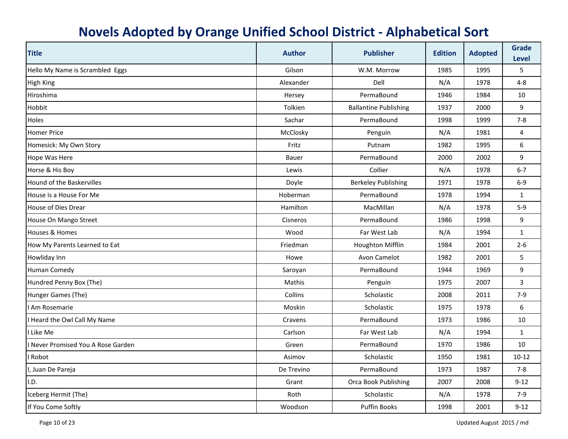| <b>Title</b>                     | <b>Author</b> | <b>Publisher</b>             | <b>Edition</b> | <b>Adopted</b> | <b>Grade</b><br>Level |
|----------------------------------|---------------|------------------------------|----------------|----------------|-----------------------|
| Hello My Name is Scrambled Eggs  | Gilson        | W.M. Morrow                  | 1985           | 1995           | 5                     |
| <b>High King</b>                 | Alexander     | Dell                         | N/A            | 1978           | $4 - 8$               |
| Hiroshima                        | Hersey        | PermaBound                   | 1946           | 1984           | 10                    |
| Hobbit                           | Tolkien       | <b>Ballantine Publishing</b> | 1937           | 2000           | 9                     |
| Holes                            | Sachar        | PermaBound                   | 1998           | 1999           | $7 - 8$               |
| <b>Homer Price</b>               | McClosky      | Penguin                      | N/A            | 1981           | 4                     |
| Homesick: My Own Story           | Fritz         | Putnam                       | 1982           | 1995           | $\boldsymbol{6}$      |
| Hope Was Here                    | Bauer         | PermaBound                   | 2000           | 2002           | 9                     |
| Horse & His Boy                  | Lewis         | Collier                      | N/A            | 1978           | $6 - 7$               |
| Hound of the Baskervilles        | Doyle         | <b>Berkeley Publishing</b>   | 1971           | 1978           | $6-9$                 |
| House is a House For Me          | Hoberman      | PermaBound                   | 1978           | 1994           | $\mathbf{1}$          |
| House of Dies Drear              | Hamilton      | MacMillan                    | N/A            | 1978           | $5-9$                 |
| House On Mango Street            | Cisneros      | PermaBound                   | 1986           | 1998           | 9                     |
| Houses & Homes                   | Wood          | Far West Lab                 | N/A            | 1994           | $\mathbf{1}$          |
| How My Parents Learned to Eat    | Friedman      | Houghton Mifflin             | 1984           | 2001           | $2 - 6$               |
| Howliday Inn                     | Howe          | Avon Camelot                 | 1982           | 2001           | 5                     |
| <b>Human Comedy</b>              | Saroyan       | PermaBound                   | 1944           | 1969           | 9                     |
| Hundred Penny Box (The)          | Mathis        | Penguin                      | 1975           | 2007           | $\overline{3}$        |
| Hunger Games (The)               | Collins       | Scholastic                   | 2008           | 2011           | $7-9$                 |
| I Am Rosemarie                   | Moskin        | Scholastic                   | 1975           | 1978           | 6                     |
| I Heard the Owl Call My Name     | Cravens       | PermaBound                   | 1973           | 1986           | 10                    |
| I Like Me                        | Carlson       | Far West Lab                 | N/A            | 1994           | $\mathbf{1}$          |
| Never Promised You A Rose Garden | Green         | PermaBound                   | 1970           | 1986           | 10                    |
| I Robot                          | Asimov        | Scholastic                   | 1950           | 1981           | $10 - 12$             |
| I, Juan De Pareja                | De Trevino    | PermaBound                   | 1973           | 1987           | $7-8$                 |
| I.D.                             | Grant         | Orca Book Publishing         | 2007           | 2008           | $9 - 12$              |
| Iceberg Hermit (The)             | Roth          | Scholastic                   | N/A            | 1978           | $7-9$                 |
| If You Come Softly               | Woodson       | <b>Puffin Books</b>          | 1998           | 2001           | $9 - 12$              |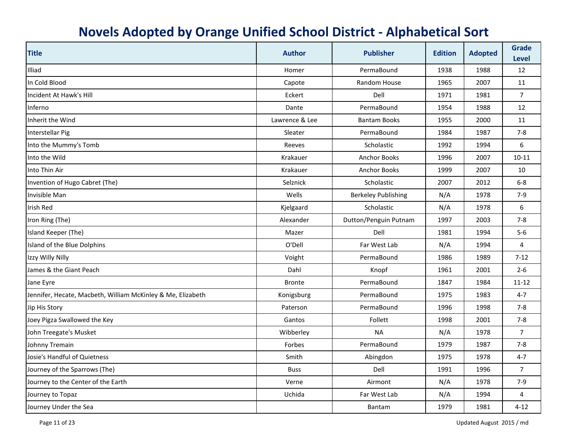| <b>Title</b>                                                | <b>Author</b>  | <b>Publisher</b>           | <b>Edition</b> | <b>Adopted</b> | <b>Grade</b><br><b>Level</b> |
|-------------------------------------------------------------|----------------|----------------------------|----------------|----------------|------------------------------|
| Illiad                                                      | Homer          | PermaBound                 | 1938           | 1988           | 12                           |
| In Cold Blood                                               | Capote         | Random House               | 1965           | 2007           | 11                           |
| Incident At Hawk's Hill                                     | Eckert         | Dell                       | 1971           | 1981           | $\overline{7}$               |
| Inferno                                                     | Dante          | PermaBound                 | 1954           | 1988           | 12                           |
| Inherit the Wind                                            | Lawrence & Lee | <b>Bantam Books</b>        | 1955           | 2000           | 11                           |
| Interstellar Pig                                            | Sleater        | PermaBound                 | 1984           | 1987           | $7 - 8$                      |
| Into the Mummy's Tomb                                       | Reeves         | Scholastic                 | 1992           | 1994           | 6                            |
| Into the Wild                                               | Krakauer       | <b>Anchor Books</b>        | 1996           | 2007           | $10 - 11$                    |
| Into Thin Air                                               | Krakauer       | <b>Anchor Books</b>        | 1999           | 2007           | 10                           |
| Invention of Hugo Cabret (The)                              | Selznick       | Scholastic                 | 2007           | 2012           | $6-8$                        |
| Invisible Man                                               | Wells          | <b>Berkeley Publishing</b> | N/A            | 1978           | $7-9$                        |
| <b>Irish Red</b>                                            | Kjelgaard      | Scholastic                 | N/A            | 1978           | 6                            |
| Iron Ring (The)                                             | Alexander      | Dutton/Penguin Putnam      | 1997           | 2003           | $7 - 8$                      |
| Island Keeper (The)                                         | Mazer          | Dell                       | 1981           | 1994           | $5-6$                        |
| Island of the Blue Dolphins                                 | O'Dell         | Far West Lab               | N/A            | 1994           | 4                            |
| Izzy Willy Nilly                                            | Voight         | PermaBound                 | 1986           | 1989           | $7-12$                       |
| James & the Giant Peach                                     | Dahl           | Knopf                      | 1961           | 2001           | $2 - 6$                      |
| Jane Eyre                                                   | <b>Bronte</b>  | PermaBound                 | 1847           | 1984           | $11 - 12$                    |
| Jennifer, Hecate, Macbeth, William McKinley & Me, Elizabeth | Konigsburg     | PermaBound                 | 1975           | 1983           | $4 - 7$                      |
| Jip His Story                                               | Paterson       | PermaBound                 | 1996           | 1998           | $7-8$                        |
| Joey Pigza Swallowed the Key                                | Gantos         | Follett                    | 1998           | 2001           | $7 - 8$                      |
| John Treegate's Musket                                      | Wibberley      | <b>NA</b>                  | N/A            | 1978           | $\overline{7}$               |
| Johnny Tremain                                              | Forbes         | PermaBound                 | 1979           | 1987           | $7 - 8$                      |
| Josie's Handful of Quietness                                | Smith          | Abingdon                   | 1975           | 1978           | $4 - 7$                      |
| Journey of the Sparrows (The)                               | <b>Buss</b>    | Dell                       | 1991           | 1996           | $\overline{7}$               |
| Journey to the Center of the Earth                          | Verne          | Airmont                    | N/A            | 1978           | $7-9$                        |
| Journey to Topaz                                            | Uchida         | Far West Lab               | N/A            | 1994           | 4                            |
| Journey Under the Sea                                       |                | Bantam                     | 1979           | 1981           | $4 - 12$                     |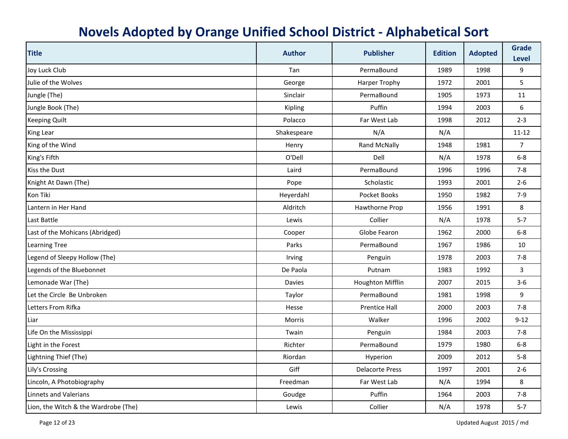| <b>Title</b>                         | <b>Author</b> | <b>Publisher</b>        | <b>Edition</b> | <b>Adopted</b> | <b>Grade</b><br><b>Level</b> |
|--------------------------------------|---------------|-------------------------|----------------|----------------|------------------------------|
| Joy Luck Club                        | Tan           | PermaBound              | 1989           | 1998           | 9                            |
| Julie of the Wolves                  | George        | <b>Harper Trophy</b>    | 1972           | 2001           | 5                            |
| Jungle (The)                         | Sinclair      | PermaBound              | 1905           | 1973           | 11                           |
| Jungle Book (The)                    | Kipling       | Puffin                  | 1994           | 2003           | 6                            |
| <b>Keeping Quilt</b>                 | Polacco       | Far West Lab            | 1998           | 2012           | $2 - 3$                      |
| King Lear                            | Shakespeare   | N/A                     | N/A            |                | $11 - 12$                    |
| King of the Wind                     | Henry         | <b>Rand McNally</b>     | 1948           | 1981           | $\overline{7}$               |
| King's Fifth                         | O'Dell        | Dell                    | N/A            | 1978           | $6-8$                        |
| Kiss the Dust                        | Laird         | PermaBound              | 1996           | 1996           | $7 - 8$                      |
| Knight At Dawn (The)                 | Pope          | Scholastic              | 1993           | 2001           | $2 - 6$                      |
| Kon Tiki                             | Heyerdahl     | Pocket Books            | 1950           | 1982           | $7-9$                        |
| Lantern in Her Hand                  | Aldritch      | Hawthorne Prop          | 1956           | 1991           | 8                            |
| Last Battle                          | Lewis         | Collier                 | N/A            | 1978           | $5 - 7$                      |
| Last of the Mohicans (Abridged)      | Cooper        | Globe Fearon            | 1962           | 2000           | $6-8$                        |
| <b>Learning Tree</b>                 | Parks         | PermaBound              | 1967           | 1986           | 10                           |
| Legend of Sleepy Hollow (The)        | Irving        | Penguin                 | 1978           | 2003           | $7 - 8$                      |
| Legends of the Bluebonnet            | De Paola      | Putnam                  | 1983           | 1992           | 3                            |
| Lemonade War (The)                   | <b>Davies</b> | <b>Houghton Mifflin</b> | 2007           | 2015           | $3-6$                        |
| Let the Circle Be Unbroken           | Taylor        | PermaBound              | 1981           | 1998           | 9                            |
| Letters From Rifka                   | Hesse         | <b>Prentice Hall</b>    | 2000           | 2003           | $7 - 8$                      |
| Liar                                 | Morris        | Walker                  | 1996           | 2002           | $9 - 12$                     |
| Life On the Mississippi              | Twain         | Penguin                 | 1984           | 2003           | $7 - 8$                      |
| Light in the Forest                  | Richter       | PermaBound              | 1979           | 1980           | $6-8$                        |
| Lightning Thief (The)                | Riordan       | Hyperion                | 2009           | 2012           | $5 - 8$                      |
| Lily's Crossing                      | Giff          | <b>Delacorte Press</b>  | 1997           | 2001           | $2 - 6$                      |
| Lincoln, A Photobiography            | Freedman      | Far West Lab            | N/A            | 1994           | 8                            |
| Linnets and Valerians                | Goudge        | Puffin                  | 1964           | 2003           | $7-8$                        |
| Lion, the Witch & the Wardrobe (The) | Lewis         | Collier                 | N/A            | 1978           | $5 - 7$                      |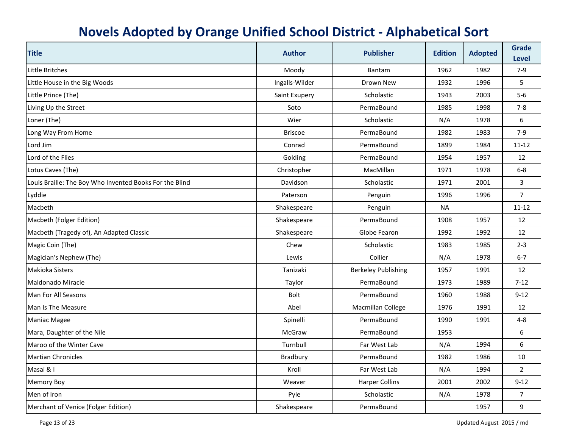| <b>Title</b>                                            | <b>Author</b>  | <b>Publisher</b>           | <b>Edition</b> | <b>Adopted</b> | <b>Grade</b><br><b>Level</b> |
|---------------------------------------------------------|----------------|----------------------------|----------------|----------------|------------------------------|
| Little Britches                                         | Moody          | Bantam                     | 1962           | 1982           | $7-9$                        |
| Little House in the Big Woods                           | Ingalls-Wilder | Drown New                  | 1932           | 1996           | 5                            |
| Little Prince (The)                                     | Saint Exupery  | Scholastic                 | 1943           | 2003           | $5-6$                        |
| Living Up the Street                                    | Soto           | PermaBound                 | 1985           | 1998           | $7 - 8$                      |
| Loner (The)                                             | Wier           | Scholastic                 | N/A            | 1978           | 6                            |
| Long Way From Home                                      | <b>Briscoe</b> | PermaBound                 | 1982           | 1983           | $7-9$                        |
| Lord Jim                                                | Conrad         | PermaBound                 | 1899           | 1984           | $11 - 12$                    |
| Lord of the Flies                                       | Golding        | PermaBound                 | 1954           | 1957           | 12                           |
| Lotus Caves (The)                                       | Christopher    | MacMillan                  | 1971           | 1978           | $6 - 8$                      |
| Louis Braille: The Boy Who Invented Books For the Blind | Davidson       | Scholastic                 | 1971           | 2001           | 3                            |
| Lyddie                                                  | Paterson       | Penguin                    | 1996           | 1996           | $\overline{7}$               |
| Macbeth                                                 | Shakespeare    | Penguin                    | <b>NA</b>      |                | $11 - 12$                    |
| Macbeth (Folger Edition)                                | Shakespeare    | PermaBound                 | 1908           | 1957           | 12                           |
| Macbeth (Tragedy of), An Adapted Classic                | Shakespeare    | Globe Fearon               | 1992           | 1992           | 12                           |
| Magic Coin (The)                                        | Chew           | Scholastic                 | 1983           | 1985           | $2-3$                        |
| Magician's Nephew (The)                                 | Lewis          | Collier                    | N/A            | 1978           | $6 - 7$                      |
| Makioka Sisters                                         | Tanizaki       | <b>Berkeley Publishing</b> | 1957           | 1991           | 12                           |
| Maldonado Miracle                                       | Taylor         | PermaBound                 | 1973           | 1989           | $7-12$                       |
| Man For All Seasons                                     | <b>Bolt</b>    | PermaBound                 | 1960           | 1988           | $9 - 12$                     |
| Man Is The Measure                                      | Abel           | Macmillan College          | 1976           | 1991           | 12                           |
| <b>Maniac Magee</b>                                     | Spinelli       | PermaBound                 | 1990           | 1991           | $4 - 8$                      |
| Mara, Daughter of the Nile                              | McGraw         | PermaBound                 | 1953           |                | 6                            |
| Maroo of the Winter Cave                                | Turnbull       | Far West Lab               | N/A            | 1994           | 6                            |
| <b>Martian Chronicles</b>                               | Bradbury       | PermaBound                 | 1982           | 1986           | 10                           |
| Masai & I                                               | Kroll          | Far West Lab               | N/A            | 1994           | $\overline{2}$               |
| <b>Memory Boy</b>                                       | Weaver         | <b>Harper Collins</b>      | 2001           | 2002           | $9 - 12$                     |
| Men of Iron                                             | Pyle           | Scholastic                 | N/A            | 1978           | 7                            |
| Merchant of Venice (Folger Edition)                     | Shakespeare    | PermaBound                 |                | 1957           | 9                            |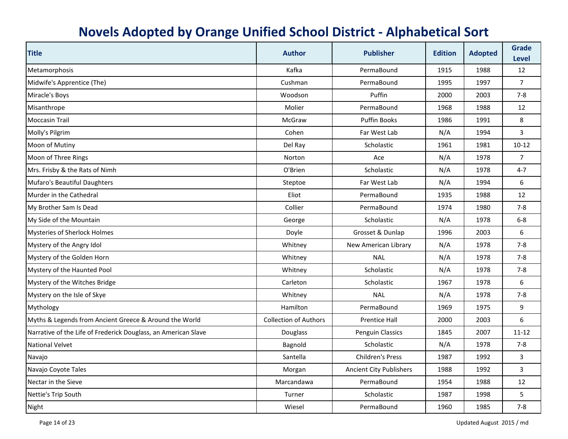| <b>Title</b>                                                   | <b>Author</b>                | <b>Publisher</b>               | <b>Edition</b> | <b>Adopted</b> | <b>Grade</b><br>Level |
|----------------------------------------------------------------|------------------------------|--------------------------------|----------------|----------------|-----------------------|
| Metamorphosis                                                  | Kafka                        | PermaBound                     | 1915           | 1988           | 12                    |
| Midwife's Apprentice (The)                                     | Cushman                      | PermaBound                     | 1995           | 1997           | $\overline{7}$        |
| Miracle's Boys                                                 | Woodson                      | Puffin                         | 2000           | 2003           | $7 - 8$               |
| Misanthrope                                                    | Molier                       | PermaBound                     | 1968           | 1988           | 12                    |
| <b>Moccasin Trail</b>                                          | McGraw                       | <b>Puffin Books</b>            | 1986           | 1991           | 8                     |
| Molly's Pilgrim                                                | Cohen                        | Far West Lab                   | N/A            | 1994           | 3                     |
| Moon of Mutiny                                                 | Del Ray                      | Scholastic                     | 1961           | 1981           | $10 - 12$             |
| Moon of Three Rings                                            | Norton                       | Ace                            | N/A            | 1978           | $\overline{7}$        |
| Mrs. Frisby & the Rats of Nimh                                 | O'Brien                      | Scholastic                     | N/A            | 1978           | $4 - 7$               |
| Mufaro's Beautiful Daughters                                   | Steptoe                      | Far West Lab                   | N/A            | 1994           | 6                     |
| Murder in the Cathedral                                        | Eliot                        | PermaBound                     | 1935           | 1988           | 12                    |
| My Brother Sam Is Dead                                         | Collier                      | PermaBound                     | 1974           | 1980           | $7-8$                 |
| My Side of the Mountain                                        | George                       | Scholastic                     | N/A            | 1978           | $6 - 8$               |
| <b>Mysteries of Sherlock Holmes</b>                            | Doyle                        | Grosset & Dunlap               | 1996           | 2003           | 6                     |
| Mystery of the Angry Idol                                      | Whitney                      | New American Library           | N/A            | 1978           | $7 - 8$               |
| Mystery of the Golden Horn                                     | Whitney                      | <b>NAL</b>                     | N/A            | 1978           | $7 - 8$               |
| Mystery of the Haunted Pool                                    | Whitney                      | Scholastic                     | N/A            | 1978           | $7 - 8$               |
| Mystery of the Witches Bridge                                  | Carleton                     | Scholastic                     | 1967           | 1978           | 6                     |
| Mystery on the Isle of Skye                                    | Whitney                      | <b>NAL</b>                     | N/A            | 1978           | $7 - 8$               |
| Mythology                                                      | Hamilton                     | PermaBound                     | 1969           | 1975           | 9                     |
| Myths & Legends from Ancient Greece & Around the World         | <b>Collection of Authors</b> | <b>Prentice Hall</b>           | 2000           | 2003           | 6                     |
| Narrative of the Life of Frederick Douglass, an American Slave | Douglass                     | Penguin Classics               | 1845           | 2007           | $11 - 12$             |
| <b>National Velvet</b>                                         | Bagnold                      | Scholastic                     | N/A            | 1978           | $7 - 8$               |
| Navajo                                                         | Santella                     | <b>Children's Press</b>        | 1987           | 1992           | $\overline{3}$        |
| Navajo Coyote Tales                                            | Morgan                       | <b>Ancient City Publishers</b> | 1988           | 1992           | 3                     |
| Nectar in the Sieve                                            | Marcandawa                   | PermaBound                     | 1954           | 1988           | 12                    |
| Nettie's Trip South                                            | Turner                       | Scholastic                     | 1987           | 1998           | 5                     |
| Night                                                          | Wiesel                       | PermaBound                     | 1960           | 1985           | $7 - 8$               |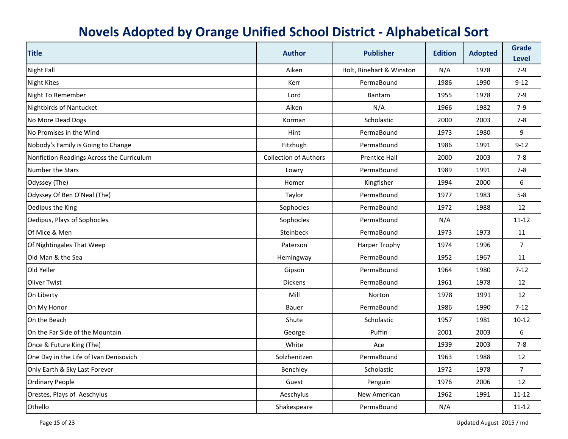| <b>Title</b>                              | <b>Author</b>                | <b>Publisher</b>         | <b>Edition</b> | <b>Adopted</b> | <b>Grade</b><br>Level |
|-------------------------------------------|------------------------------|--------------------------|----------------|----------------|-----------------------|
| <b>Night Fall</b>                         | Aiken                        | Holt, Rinehart & Winston | N/A            | 1978           | $7-9$                 |
| <b>Night Kites</b>                        | Kerr                         | PermaBound               | 1986           | 1990           | $9 - 12$              |
| Night To Remember                         | Lord                         | Bantam                   | 1955           | 1978           | $7-9$                 |
| <b>Nightbirds of Nantucket</b>            | Aiken                        | N/A                      | 1966           | 1982           | $7-9$                 |
| No More Dead Dogs                         | Korman                       | Scholastic               | 2000           | 2003           | $7 - 8$               |
| No Promises in the Wind                   | Hint                         | PermaBound               | 1973           | 1980           | 9                     |
| Nobody's Family is Going to Change        | Fitzhugh                     | PermaBound               | 1986           | 1991           | $9 - 12$              |
| Nonfiction Readings Across the Curriculum | <b>Collection of Authors</b> | <b>Prentice Hall</b>     | 2000           | 2003           | $7-8$                 |
| Number the Stars                          | Lowry                        | PermaBound               | 1989           | 1991           | $7 - 8$               |
| Odyssey (The)                             | Homer                        | Kingfisher               | 1994           | 2000           | 6                     |
| Odyssey Of Ben O'Neal (The)               | Taylor                       | PermaBound               | 1977           | 1983           | $5 - 8$               |
| Oedipus the King                          | Sophocles                    | PermaBound               | 1972           | 1988           | 12                    |
| Oedipus, Plays of Sophocles               | Sophocles                    | PermaBound               | N/A            |                | $11 - 12$             |
| Of Mice & Men                             | Steinbeck                    | PermaBound               | 1973           | 1973           | 11                    |
| Of Nightingales That Weep                 | Paterson                     | <b>Harper Trophy</b>     | 1974           | 1996           | $\overline{7}$        |
| Old Man & the Sea                         | Hemingway                    | PermaBound               | 1952           | 1967           | 11                    |
| Old Yeller                                | Gipson                       | PermaBound               | 1964           | 1980           | $7 - 12$              |
| <b>Oliver Twist</b>                       | <b>Dickens</b>               | PermaBound               | 1961           | 1978           | 12                    |
| On Liberty                                | Mill                         | Norton                   | 1978           | 1991           | 12                    |
| On My Honor                               | <b>Bauer</b>                 | PermaBound               | 1986           | 1990           | $7-12$                |
| On the Beach                              | Shute                        | Scholastic               | 1957           | 1981           | $10 - 12$             |
| On the Far Side of the Mountain           | George                       | Puffin                   | 2001           | 2003           | 6                     |
| Once & Future King (The)                  | White                        | Ace                      | 1939           | 2003           | $7 - 8$               |
| One Day in the Life of Ivan Denisovich    | Solzhenitzen                 | PermaBound               | 1963           | 1988           | 12                    |
| Only Earth & Sky Last Forever             | Benchley                     | Scholastic               | 1972           | 1978           | $\overline{7}$        |
| <b>Ordinary People</b>                    | Guest                        | Penguin                  | 1976           | 2006           | 12                    |
| Orestes, Plays of Aeschylus               | Aeschylus                    | New American             | 1962           | 1991           | $11 - 12$             |
| Othello                                   | Shakespeare                  | PermaBound               | N/A            |                | $11 - 12$             |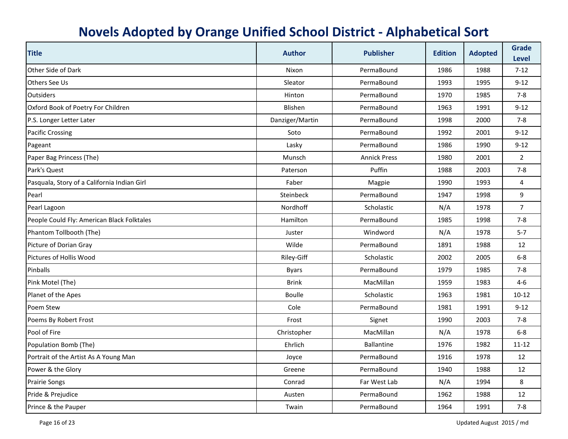| <b>Title</b>                                | <b>Author</b>    | <b>Publisher</b>    | <b>Edition</b> | <b>Adopted</b> | <b>Grade</b><br><b>Level</b> |
|---------------------------------------------|------------------|---------------------|----------------|----------------|------------------------------|
| Other Side of Dark                          | Nixon            | PermaBound          | 1986           | 1988           | $7 - 12$                     |
| Others See Us                               | Sleator          | PermaBound          | 1993           | 1995           | $9 - 12$                     |
| <b>Outsiders</b>                            | Hinton           | PermaBound          | 1970           | 1985           | $7 - 8$                      |
| Oxford Book of Poetry For Children          | Blishen          | PermaBound          | 1963           | 1991           | $9 - 12$                     |
| P.S. Longer Letter Later                    | Danziger/Martin  | PermaBound          | 1998           | 2000           | $7 - 8$                      |
| <b>Pacific Crossing</b>                     | Soto             | PermaBound          | 1992           | 2001           | $9 - 12$                     |
| Pageant                                     | Lasky            | PermaBound          | 1986           | 1990           | $9 - 12$                     |
| Paper Bag Princess (The)                    | Munsch           | <b>Annick Press</b> | 1980           | 2001           | $\overline{2}$               |
| Park's Quest                                | Paterson         | Puffin              | 1988           | 2003           | $7-8$                        |
| Pasquala, Story of a California Indian Girl | Faber            | Magpie              | 1990           | 1993           | 4                            |
| Pearl                                       | <b>Steinbeck</b> | PermaBound          | 1947           | 1998           | 9                            |
| Pearl Lagoon                                | Nordhoff         | Scholastic          | N/A            | 1978           | $\overline{7}$               |
| People Could Fly: American Black Folktales  | Hamilton         | PermaBound          | 1985           | 1998           | $7 - 8$                      |
| Phantom Tollbooth (The)                     | Juster           | Windword            | N/A            | 1978           | $5 - 7$                      |
| Picture of Dorian Gray                      | Wilde            | PermaBound          | 1891           | 1988           | 12                           |
| Pictures of Hollis Wood                     | Riley-Giff       | Scholastic          | 2002           | 2005           | $6 - 8$                      |
| <b>Pinballs</b>                             | <b>Byars</b>     | PermaBound          | 1979           | 1985           | $7 - 8$                      |
| Pink Motel (The)                            | <b>Brink</b>     | MacMillan           | 1959           | 1983           | $4 - 6$                      |
| Planet of the Apes                          | <b>Boulle</b>    | Scholastic          | 1963           | 1981           | $10 - 12$                    |
| Poem Stew                                   | Cole             | PermaBound          | 1981           | 1991           | $9 - 12$                     |
| Poems By Robert Frost                       | Frost            | Signet              | 1990           | 2003           | $7 - 8$                      |
| Pool of Fire                                | Christopher      | MacMillan           | N/A            | 1978           | $6 - 8$                      |
| Population Bomb (The)                       | Ehrlich          | <b>Ballantine</b>   | 1976           | 1982           | $11 - 12$                    |
| Portrait of the Artist As A Young Man       | Joyce            | PermaBound          | 1916           | 1978           | 12                           |
| Power & the Glory                           | Greene           | PermaBound          | 1940           | 1988           | 12                           |
| <b>Prairie Songs</b>                        | Conrad           | Far West Lab        | N/A            | 1994           | 8                            |
| Pride & Prejudice                           | Austen           | PermaBound          | 1962           | 1988           | 12                           |
| Prince & the Pauper                         | Twain            | PermaBound          | 1964           | 1991           | $7 - 8$                      |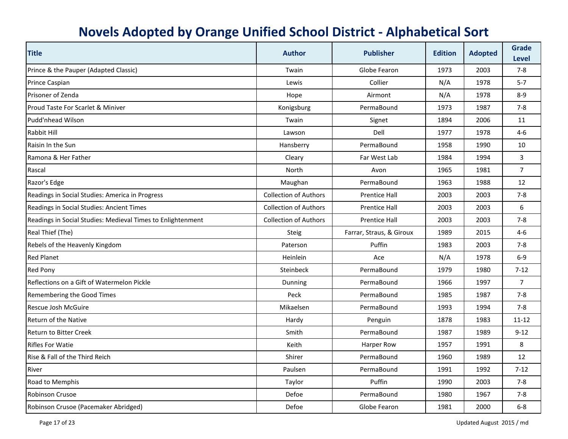| <b>Title</b>                                                | <b>Author</b>                | <b>Publisher</b>         | <b>Edition</b> | <b>Adopted</b> | <b>Grade</b><br><b>Level</b> |
|-------------------------------------------------------------|------------------------------|--------------------------|----------------|----------------|------------------------------|
| Prince & the Pauper (Adapted Classic)                       | Twain                        | Globe Fearon             | 1973           | 2003           | $7 - 8$                      |
| Prince Caspian                                              | Lewis                        | Collier                  | N/A            | 1978           | $5 - 7$                      |
| Prisoner of Zenda                                           | Hope                         | Airmont                  | N/A            | 1978           | $8 - 9$                      |
| Proud Taste For Scarlet & Miniver                           | Konigsburg                   | PermaBound               | 1973           | 1987           | $7 - 8$                      |
| Pudd'nhead Wilson                                           | Twain                        | Signet                   | 1894           | 2006           | 11                           |
| Rabbit Hill                                                 | Lawson                       | Dell                     | 1977           | 1978           | 4-6                          |
| Raisin In the Sun                                           | Hansberry                    | PermaBound               | 1958           | 1990           | 10                           |
| Ramona & Her Father                                         | Cleary                       | Far West Lab             | 1984           | 1994           | 3                            |
| Rascal                                                      | North                        | Avon                     | 1965           | 1981           | $\overline{7}$               |
| Razor's Edge                                                | Maughan                      | PermaBound               | 1963           | 1988           | 12                           |
| Readings in Social Studies: America in Progress             | <b>Collection of Authors</b> | <b>Prentice Hall</b>     | 2003           | 2003           | $7 - 8$                      |
| Readings in Social Studies: Ancient Times                   | <b>Collection of Authors</b> | <b>Prentice Hall</b>     | 2003           | 2003           | 6                            |
| Readings in Social Studies: Medieval Times to Enlightenment | <b>Collection of Authors</b> | <b>Prentice Hall</b>     | 2003           | 2003           | $7 - 8$                      |
| Real Thief (The)                                            | <b>Steig</b>                 | Farrar, Straus, & Giroux | 1989           | 2015           | $4 - 6$                      |
| Rebels of the Heavenly Kingdom                              | Paterson                     | Puffin                   | 1983           | 2003           | $7 - 8$                      |
| <b>Red Planet</b>                                           | <b>Heinlein</b>              | Ace                      | N/A            | 1978           | $6-9$                        |
| <b>Red Pony</b>                                             | Steinbeck                    | PermaBound               | 1979           | 1980           | $7 - 12$                     |
| Reflections on a Gift of Watermelon Pickle                  | Dunning                      | PermaBound               | 1966           | 1997           | $\overline{7}$               |
| Remembering the Good Times                                  | Peck                         | PermaBound               | 1985           | 1987           | $7 - 8$                      |
| Rescue Josh McGuire                                         | Mikaelsen                    | PermaBound               | 1993           | 1994           | $7 - 8$                      |
| Return of the Native                                        | Hardy                        | Penguin                  | 1878           | 1983           | $11 - 12$                    |
| <b>Return to Bitter Creek</b>                               | Smith                        | PermaBound               | 1987           | 1989           | $9 - 12$                     |
| <b>Rifles For Watie</b>                                     | Keith                        | Harper Row               | 1957           | 1991           | 8                            |
| Rise & Fall of the Third Reich                              | Shirer                       | PermaBound               | 1960           | 1989           | 12                           |
| River                                                       | Paulsen                      | PermaBound               | 1991           | 1992           | $7 - 12$                     |
| Road to Memphis                                             | Taylor                       | Puffin                   | 1990           | 2003           | $7 - 8$                      |
| <b>Robinson Crusoe</b>                                      | Defoe                        | PermaBound               | 1980           | 1967           | $7 - 8$                      |
| Robinson Crusoe (Pacemaker Abridged)                        | Defoe                        | Globe Fearon             | 1981           | 2000           | $6 - 8$                      |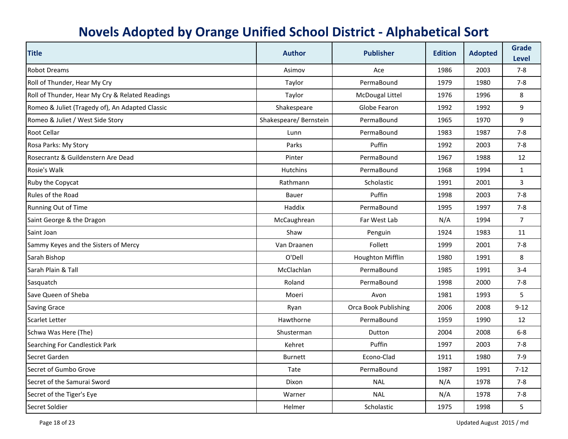| <b>Title</b>                                    | <b>Author</b>          | <b>Publisher</b>            | <b>Edition</b> | <b>Adopted</b> | <b>Grade</b><br><b>Level</b> |
|-------------------------------------------------|------------------------|-----------------------------|----------------|----------------|------------------------------|
| <b>Robot Dreams</b>                             | Asimov                 | Ace                         | 1986           | 2003           | $7 - 8$                      |
| Roll of Thunder, Hear My Cry                    | Taylor                 | PermaBound                  | 1979           | 1980           | $7 - 8$                      |
| Roll of Thunder, Hear My Cry & Related Readings | Taylor                 | McDougal Littel             | 1976           | 1996           | 8                            |
| Romeo & Juliet (Tragedy of), An Adapted Classic | Shakespeare            | Globe Fearon                | 1992           | 1992           | 9                            |
| Romeo & Juliet / West Side Story                | Shakespeare/ Bernstein | PermaBound                  | 1965           | 1970           | 9                            |
| <b>Root Cellar</b>                              | Lunn                   | PermaBound                  | 1983           | 1987           | $7 - 8$                      |
| Rosa Parks: My Story                            | Parks                  | Puffin                      | 1992           | 2003           | $7 - 8$                      |
| Rosecrantz & Guildenstern Are Dead              | Pinter                 | PermaBound                  | 1967           | 1988           | 12                           |
| Rosie's Walk                                    | <b>Hutchins</b>        | PermaBound                  | 1968           | 1994           | $\mathbf{1}$                 |
| Ruby the Copycat                                | Rathmann               | Scholastic                  | 1991           | 2001           | $\overline{3}$               |
| Rules of the Road                               | <b>Bauer</b>           | Puffin                      | 1998           | 2003           | $7 - 8$                      |
| Running Out of Time                             | Haddix                 | PermaBound                  | 1995           | 1997           | $7 - 8$                      |
| Saint George & the Dragon                       | McCaughrean            | Far West Lab                | N/A            | 1994           | $\overline{7}$               |
| Saint Joan                                      | Shaw                   | Penguin                     | 1924           | 1983           | 11                           |
| Sammy Keyes and the Sisters of Mercy            | Van Draanen            | Follett                     | 1999           | 2001           | $7 - 8$                      |
| Sarah Bishop                                    | O'Dell                 | <b>Houghton Mifflin</b>     | 1980           | 1991           | 8                            |
| Sarah Plain & Tall                              | McClachlan             | PermaBound                  | 1985           | 1991           | $3 - 4$                      |
| Sasquatch                                       | Roland                 | PermaBound                  | 1998           | 2000           | $7 - 8$                      |
| Save Queen of Sheba                             | Moeri                  | Avon                        | 1981           | 1993           | 5                            |
| <b>Saving Grace</b>                             | Ryan                   | <b>Orca Book Publishing</b> | 2006           | 2008           | $9 - 12$                     |
| <b>Scarlet Letter</b>                           | Hawthorne              | PermaBound                  | 1959           | 1990           | 12                           |
| Schwa Was Here (The)                            | Shusterman             | Dutton                      | 2004           | 2008           | $6-8$                        |
| Searching For Candlestick Park                  | Kehret                 | Puffin                      | 1997           | 2003           | $7 - 8$                      |
| Secret Garden                                   | <b>Burnett</b>         | Econo-Clad                  | 1911           | 1980           | $7 - 9$                      |
| Secret of Gumbo Grove                           | Tate                   | PermaBound                  | 1987           | 1991           | $7-12$                       |
| Secret of the Samurai Sword                     | Dixon                  | <b>NAL</b>                  | N/A            | 1978           | $7 - 8$                      |
| Secret of the Tiger's Eye                       | Warner                 | <b>NAL</b>                  | N/A            | 1978           | $7-8$                        |
| Secret Soldier                                  | <b>Helmer</b>          | Scholastic                  | 1975           | 1998           | 5                            |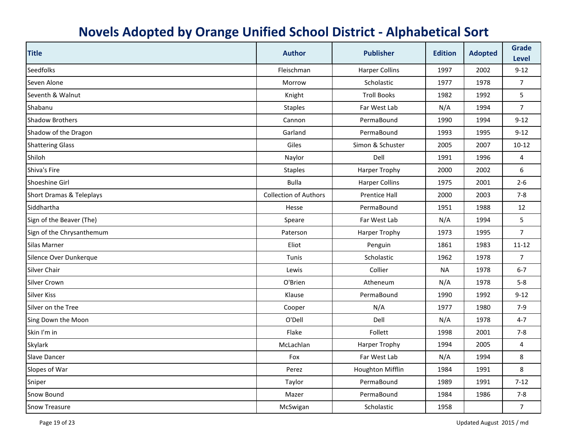| <b>Title</b>              | <b>Author</b>                | <b>Publisher</b>      | <b>Edition</b> | <b>Adopted</b> | <b>Grade</b><br><b>Level</b> |
|---------------------------|------------------------------|-----------------------|----------------|----------------|------------------------------|
| <b>Seedfolks</b>          | Fleischman                   | <b>Harper Collins</b> | 1997           | 2002           | $9 - 12$                     |
| Seven Alone               | Morrow                       | Scholastic            | 1977           | 1978           | $\overline{7}$               |
| Seventh & Walnut          | Knight                       | <b>Troll Books</b>    | 1982           | 1992           | 5                            |
| Shabanu                   | <b>Staples</b>               | Far West Lab          | N/A            | 1994           | $\overline{7}$               |
| <b>Shadow Brothers</b>    | Cannon                       | PermaBound            | 1990           | 1994           | $9 - 12$                     |
| Shadow of the Dragon      | Garland                      | PermaBound            | 1993           | 1995           | $9 - 12$                     |
| <b>Shattering Glass</b>   | Giles                        | Simon & Schuster      | 2005           | 2007           | $10 - 12$                    |
| Shiloh                    | Naylor                       | Dell                  | 1991           | 1996           | 4                            |
| Shiva's Fire              | <b>Staples</b>               | Harper Trophy         | 2000           | 2002           | 6                            |
| Shoeshine Girl            | <b>Bulla</b>                 | <b>Harper Collins</b> | 1975           | 2001           | $2 - 6$                      |
| Short Dramas & Teleplays  | <b>Collection of Authors</b> | <b>Prentice Hall</b>  | 2000           | 2003           | $7 - 8$                      |
| Siddhartha                | Hesse                        | PermaBound            | 1951           | 1988           | 12                           |
| Sign of the Beaver (The)  | Speare                       | Far West Lab          | N/A            | 1994           | 5                            |
| Sign of the Chrysanthemum | Paterson                     | <b>Harper Trophy</b>  | 1973           | 1995           | $\overline{7}$               |
| Silas Marner              | Eliot                        | Penguin               | 1861           | 1983           | $11 - 12$                    |
| Silence Over Dunkerque    | Tunis                        | Scholastic            | 1962           | 1978           | $\overline{7}$               |
| <b>Silver Chair</b>       | Lewis                        | Collier               | <b>NA</b>      | 1978           | $6 - 7$                      |
| <b>Silver Crown</b>       | O'Brien                      | Atheneum              | N/A            | 1978           | $5-8$                        |
| <b>Silver Kiss</b>        | Klause                       | PermaBound            | 1990           | 1992           | $9 - 12$                     |
| Silver on the Tree        | Cooper                       | N/A                   | 1977           | 1980           | $7-9$                        |
| Sing Down the Moon        | O'Dell                       | Dell                  | N/A            | 1978           | $4 - 7$                      |
| Skin I'm in               | Flake                        | Follett               | 1998           | 2001           | $7 - 8$                      |
| <b>Skylark</b>            | McLachlan                    | <b>Harper Trophy</b>  | 1994           | 2005           | 4                            |
| <b>Slave Dancer</b>       | Fox                          | Far West Lab          | N/A            | 1994           | 8                            |
| Slopes of War             | Perez                        | Houghton Mifflin      | 1984           | 1991           | 8                            |
| Sniper                    | Taylor                       | PermaBound            | 1989           | 1991           | $7-12$                       |
| Snow Bound                | Mazer                        | PermaBound            | 1984           | 1986           | $7 - 8$                      |
| <b>Snow Treasure</b>      | McSwigan                     | Scholastic            | 1958           |                | $\overline{7}$               |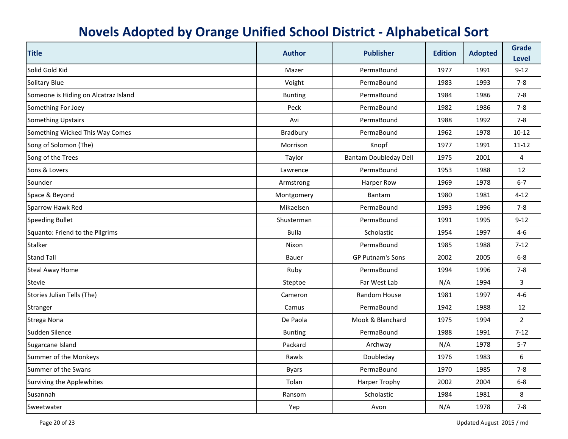| <b>Title</b>                         | <b>Author</b>  | <b>Publisher</b>             | <b>Edition</b> | <b>Adopted</b> | <b>Grade</b><br><b>Level</b> |
|--------------------------------------|----------------|------------------------------|----------------|----------------|------------------------------|
| Solid Gold Kid                       | Mazer          | PermaBound                   | 1977           | 1991           | $9 - 12$                     |
| <b>Solitary Blue</b>                 | Voight         | PermaBound                   | 1983           | 1993           | $7 - 8$                      |
| Someone is Hiding on Alcatraz Island | <b>Bunting</b> | PermaBound                   | 1984           | 1986           | $7 - 8$                      |
| Something For Joey                   | Peck           | PermaBound                   | 1982           | 1986           | $7-8$                        |
| <b>Something Upstairs</b>            | Avi            | PermaBound                   | 1988           | 1992           | $7 - 8$                      |
| Something Wicked This Way Comes      | Bradbury       | PermaBound                   | 1962           | 1978           | $10 - 12$                    |
| Song of Solomon (The)                | Morrison       | Knopf                        | 1977           | 1991           | $11 - 12$                    |
| Song of the Trees                    | Taylor         | <b>Bantam Doubleday Dell</b> | 1975           | 2001           | 4                            |
| Sons & Lovers                        | Lawrence       | PermaBound                   | 1953           | 1988           | 12                           |
| Sounder                              | Armstrong      | Harper Row                   | 1969           | 1978           | $6 - 7$                      |
| Space & Beyond                       | Montgomery     | Bantam                       | 1980           | 1981           | $4 - 12$                     |
| Sparrow Hawk Red                     | Mikaelsen      | PermaBound                   | 1993           | 1996           | $7-8$                        |
| <b>Speeding Bullet</b>               | Shusterman     | PermaBound                   | 1991           | 1995           | $9 - 12$                     |
| Squanto: Friend to the Pilgrims      | <b>Bulla</b>   | Scholastic                   | 1954           | 1997           | $4 - 6$                      |
| <b>Stalker</b>                       | Nixon          | PermaBound                   | 1985           | 1988           | $7 - 12$                     |
| <b>Stand Tall</b>                    | Bauer          | <b>GP Putnam's Sons</b>      | 2002           | 2005           | $6-8$                        |
| <b>Steal Away Home</b>               | Ruby           | PermaBound                   | 1994           | 1996           | $7 - 8$                      |
| <b>Stevie</b>                        | Steptoe        | Far West Lab                 | N/A            | 1994           | 3                            |
| Stories Julian Tells (The)           | Cameron        | <b>Random House</b>          | 1981           | 1997           | $4-6$                        |
| <b>Stranger</b>                      | Camus          | PermaBound                   | 1942           | 1988           | 12                           |
| Strega Nona                          | De Paola       | Mook & Blanchard             | 1975           | 1994           | $\overline{2}$               |
| Sudden Silence                       | <b>Bunting</b> | PermaBound                   | 1988           | 1991           | $7 - 12$                     |
| Sugarcane Island                     | Packard        | Archway                      | N/A            | 1978           | $5 - 7$                      |
| Summer of the Monkeys                | Rawls          | Doubleday                    | 1976           | 1983           | 6                            |
| Summer of the Swans                  | <b>Byars</b>   | PermaBound                   | 1970           | 1985           | $7 - 8$                      |
| Surviving the Applewhites            | Tolan          | <b>Harper Trophy</b>         | 2002           | 2004           | $6 - 8$                      |
| Susannah                             | Ransom         | Scholastic                   | 1984           | 1981           | 8                            |
| Sweetwater                           | Yep            | Avon                         | N/A            | 1978           | $7 - 8$                      |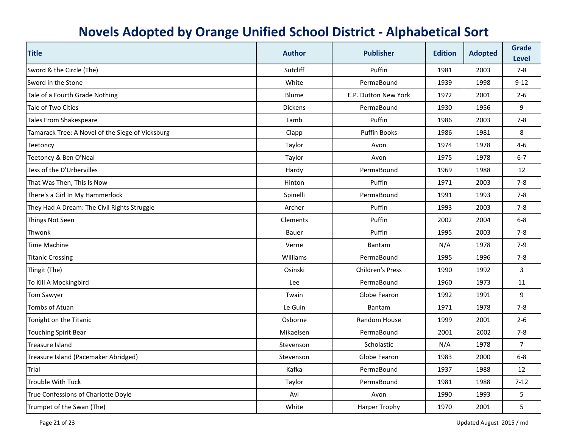| <b>Title</b>                                     | <b>Author</b>  | <b>Publisher</b>        | <b>Edition</b> | <b>Adopted</b> | <b>Grade</b><br><b>Level</b> |
|--------------------------------------------------|----------------|-------------------------|----------------|----------------|------------------------------|
| Sword & the Circle (The)                         | Sutcliff       | Puffin                  | 1981           | 2003           | $7 - 8$                      |
| Sword in the Stone                               | White          | PermaBound              | 1939           | 1998           | $9 - 12$                     |
| Tale of a Fourth Grade Nothing                   | Blume          | E.P. Dutton New York    | 1972           | 2001           | $2 - 6$                      |
| Tale of Two Cities                               | <b>Dickens</b> | PermaBound              | 1930           | 1956           | 9                            |
| <b>Tales From Shakespeare</b>                    | Lamb           | Puffin                  | 1986           | 2003           | $7 - 8$                      |
| Tamarack Tree: A Novel of the Siege of Vicksburg | Clapp          | <b>Puffin Books</b>     | 1986           | 1981           | 8                            |
| Teetoncy                                         | Taylor         | Avon                    | 1974           | 1978           | $4 - 6$                      |
| Teetoncy & Ben O'Neal                            | Taylor         | Avon                    | 1975           | 1978           | $6 - 7$                      |
| Tess of the D'Urbervilles                        | Hardy          | PermaBound              | 1969           | 1988           | 12                           |
| That Was Then, This Is Now                       | Hinton         | Puffin                  | 1971           | 2003           | $7-8$                        |
| There's a Girl In My Hammerlock                  | Spinelli       | PermaBound              | 1991           | 1993           | $7 - 8$                      |
| They Had A Dream: The Civil Rights Struggle      | Archer         | Puffin                  | 1993           | 2003           | 7-8                          |
| Things Not Seen                                  | Clements       | Puffin                  | 2002           | 2004           | $6-8$                        |
| Thwonk                                           | Bauer          | Puffin                  | 1995           | 2003           | $7-8$                        |
| Time Machine                                     | Verne          | Bantam                  | N/A            | 1978           | $7-9$                        |
| <b>Titanic Crossing</b>                          | Williams       | PermaBound              | 1995           | 1996           | $7-8$                        |
| Tlingit (The)                                    | Osinski        | <b>Children's Press</b> | 1990           | 1992           | 3                            |
| To Kill A Mockingbird                            | Lee            | PermaBound              | 1960           | 1973           | 11                           |
| Tom Sawyer                                       | Twain          | Globe Fearon            | 1992           | 1991           | 9                            |
| Tombs of Atuan                                   | Le Guin        | Bantam                  | 1971           | 1978           | $7 - 8$                      |
| Tonight on the Titanic                           | Osborne        | Random House            | 1999           | 2001           | $2 - 6$                      |
| <b>Touching Spirit Bear</b>                      | Mikaelsen      | PermaBound              | 2001           | 2002           | $7 - 8$                      |
| <b>Treasure Island</b>                           | Stevenson      | Scholastic              | N/A            | 1978           | $\overline{7}$               |
| Treasure Island (Pacemaker Abridged)             | Stevenson      | Globe Fearon            | 1983           | 2000           | $6-8$                        |
| Trial                                            | Kafka          | PermaBound              | 1937           | 1988           | 12                           |
| Trouble With Tuck                                | Taylor         | PermaBound              | 1981           | 1988           | $7 - 12$                     |
| True Confessions of Charlotte Doyle              | Avi            | Avon                    | 1990           | 1993           | 5                            |
| Trumpet of the Swan (The)                        | White          | <b>Harper Trophy</b>    | 1970           | 2001           | 5                            |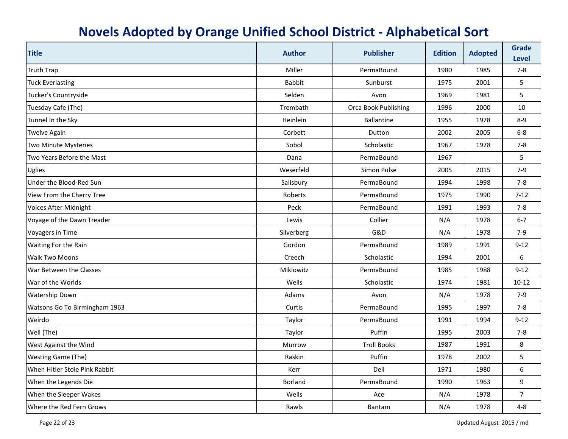| <b>Title</b>                  | <b>Author</b> | <b>Publisher</b>     | <b>Edition</b> | <b>Adopted</b> | <b>Grade</b><br><b>Level</b> |
|-------------------------------|---------------|----------------------|----------------|----------------|------------------------------|
| <b>Truth Trap</b>             | Miller        | PermaBound           | 1980           | 1985           | $7 - 8$                      |
| <b>Tuck Everlasting</b>       | <b>Babbit</b> | Sunburst             | 1975           | 2001           | 5                            |
| Tucker's Countryside          | Selden        | Avon                 | 1969           | 1981           | 5                            |
| Tuesday Cafe (The)            | Trembath      | Orca Book Publishing | 1996           | 2000           | 10                           |
| Tunnel In the Sky             | Heinlein      | <b>Ballantine</b>    | 1955           | 1978           | $8 - 9$                      |
| <b>Twelve Again</b>           | Corbett       | Dutton               | 2002           | 2005           | $6-8$                        |
| <b>Two Minute Mysteries</b>   | Sobol         | Scholastic           | 1967           | 1978           | $7 - 8$                      |
| Two Years Before the Mast     | Dana          | PermaBound           | 1967           |                | 5                            |
| Uglies                        | Weserfeld     | Simon Pulse          | 2005           | 2015           | $7-9$                        |
| Under the Blood-Red Sun       | Salisbury     | PermaBound           | 1994           | 1998           | $7 - 8$                      |
| View From the Cherry Tree     | Roberts       | PermaBound           | 1975           | 1990           | $7-12$                       |
| Voices After Midnight         | Peck          | PermaBound           | 1991           | 1993           | $7 - 8$                      |
| Voyage of the Dawn Treader    | Lewis         | Collier              | N/A            | 1978           | $6 - 7$                      |
| <b>Voyagers in Time</b>       | Silverberg    | G&D                  | N/A            | 1978           | $7-9$                        |
| Waiting For the Rain          | Gordon        | PermaBound           | 1989           | 1991           | $9 - 12$                     |
| <b>Walk Two Moons</b>         | Creech        | Scholastic           | 1994           | 2001           | 6                            |
| War Between the Classes       | Miklowitz     | PermaBound           | 1985           | 1988           | $9 - 12$                     |
| War of the Worlds             | Wells         | Scholastic           | 1974           | 1981           | $10 - 12$                    |
| <b>Watership Down</b>         | Adams         | Avon                 | N/A            | 1978           | $7-9$                        |
| Watsons Go To Birmingham 1963 | Curtis        | PermaBound           | 1995           | 1997           | $7 - 8$                      |
| Weirdo                        | Taylor        | PermaBound           | 1991           | 1994           | $9 - 12$                     |
| Well (The)                    | Taylor        | Puffin               | 1995           | 2003           | $7 - 8$                      |
| West Against the Wind         | Murrow        | <b>Troll Books</b>   | 1987           | 1991           | 8                            |
| <b>Westing Game (The)</b>     | Raskin        | Puffin               | 1978           | 2002           | 5                            |
| When Hitler Stole Pink Rabbit | Kerr          | Dell                 | 1971           | 1980           | 6                            |
| When the Legends Die          | Borland       | PermaBound           | 1990           | 1963           | 9                            |
| When the Sleeper Wakes        | Wells         | Ace                  | N/A            | 1978           | $\overline{7}$               |
| Where the Red Fern Grows      | Rawls         | Bantam               | N/A            | 1978           | $4 - 8$                      |